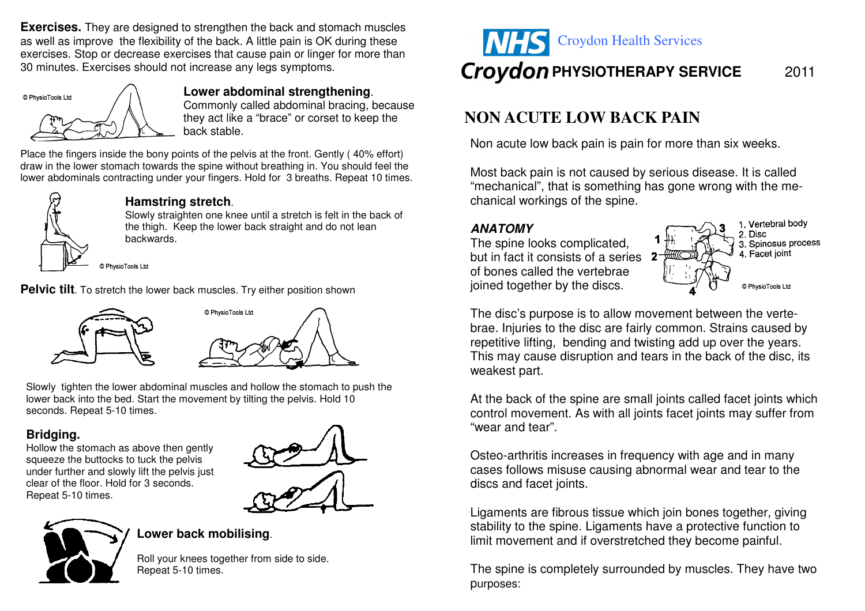**Exercises.** They are designed to strengthen the back and stomach muscles as well as improve the flexibility of the back. A little pain is OK during these exercises. Stop or decrease exercises that cause pain or linger for more than 30 minutes. Exercises should not increase any legs symptoms.



# **Lower abdominal strengthening**.

 Commonly called abdominal bracing, because they act like a "brace" or corset to keep the back stable.

Place the fingers inside the bony points of the pelvis at the front. Gently ( 40% effort) draw in the lower stomach towards the spine without breathing in. You should feel the lower abdominals contracting under your fingers. Hold for 3 breaths. Repeat 10 times.



#### **Hamstring stretch**.

 Slowly straighten one knee until a stretch is felt in the back of the thigh. Keep the lower back straight and do not lean backwards.

© PhysioTools Ltd

**Pelvic tilt**. To stretch the lower back muscles. Try either position shown



Slowly tighten the lower abdominal muscles and hollow the stomach to push the lower back into the bed. Start the movement by tilting the pelvis. Hold 10 seconds. Repeat 5-10 times.

# **Bridging.**

 Hollow the stomach as above then gently squeeze the buttocks to tuck the pelvis under further and slowly lift the pelvis just clear of the floor. Hold for 3 seconds. Repeat 5-10 times.





# **Lower back mobilising**.

Roll your knees together from side to side. Repeat 5-10 times.



# **NON ACUTE LOW BACK PAIN**

Non acute low back pain is pain for more than six weeks.

Most back pain is not caused by serious disease. It is called "mechanical", that is something has gone wrong with the mechanical workings of the spine.

# **ANATOMY**

 The spine looks complicated, but in fact it consists of a series of bones called the vertebrae joined together by the discs.



The disc's purpose is to allow movement between the vertebrae. Injuries to the disc are fairly common. Strains caused by repetitive lifting, bending and twisting add up over the years. This may cause disruption and tears in the back of the disc, its weakest part.

At the back of the spine are small joints called facet joints which control movement. As with all joints facet joints may suffer from "wear and tear".

Osteo-arthritis increases in frequency with age and in many cases follows misuse causing abnormal wear and tear to the discs and facet joints.

Ligaments are fibrous tissue which join bones together, giving stability to the spine. Ligaments have a protective function to limit movement and if overstretched they become painful.

The spine is completely surrounded by muscles. They have two purposes: